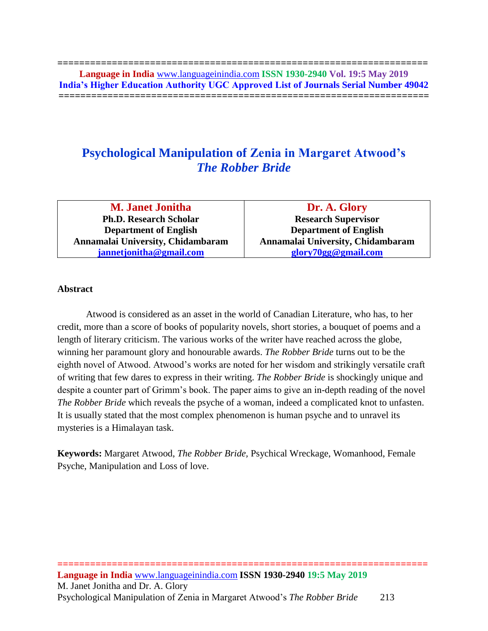**==================================================================== Language in India** [www.languageinindia.com](http://www.languageinindia.com/) **ISSN 1930-2940 Vol. 19:5 May 2019 India's Higher Education Authority UGC Approved List of Journals Serial Number 49042 ====================================================================**

# **Psychological Manipulation of Zenia in Margaret Atwood's**  *The Robber Bride*

**M. Janet Jonitha Ph.D. Research Scholar Department of English Annamalai University, Chidambaram [jannetjonitha@gmail.com](mailto:jannetjonitha@gmail.com)**

**Dr. A. Glory Research Supervisor Department of English Annamalai University, Chidambaram [glory70gg@gmail.com](mailto:glory70gg@gmail.com)**

# **Abstract**

Atwood is considered as an asset in the world of Canadian Literature, who has, to her credit, more than a score of books of popularity novels, short stories, a bouquet of poems and a length of literary criticism. The various works of the writer have reached across the globe, winning her paramount glory and honourable awards. *The Robber Bride* turns out to be the eighth novel of Atwood. Atwood's works are noted for her wisdom and strikingly versatile craft of writing that few dares to express in their writing. *The Robber Bride* is shockingly unique and despite a counter part of Grimm's book. The paper aims to give an in-depth reading of the novel *The Robber Bride* which reveals the psyche of a woman, indeed a complicated knot to unfasten. It is usually stated that the most complex phenomenon is human psyche and to unravel its mysteries is a Himalayan task.

**Keywords:** Margaret Atwood, *The Robber Bride,* Psychical Wreckage, Womanhood, Female Psyche, Manipulation and Loss of love.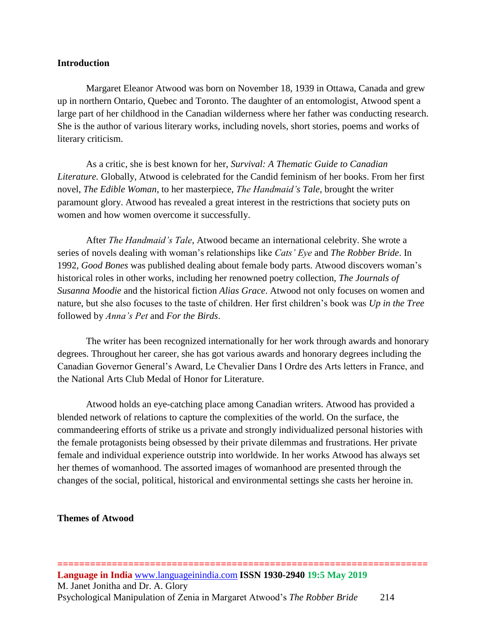## **Introduction**

Margaret Eleanor Atwood was born on November 18, 1939 in Ottawa, Canada and grew up in northern Ontario, Quebec and Toronto. The daughter of an entomologist, Atwood spent a large part of her childhood in the Canadian wilderness where her father was conducting research. She is the author of various literary works, including novels, short stories, poems and works of literary criticism.

As a critic, she is best known for her, *Survival: A Thematic Guide to Canadian Literature.* Globally, Atwood is celebrated for the Candid feminism of her books. From her first novel, *The Edible Woman*, to her masterpiece, *The Handmaid's Tale*, brought the writer paramount glory. Atwood has revealed a great interest in the restrictions that society puts on women and how women overcome it successfully.

After *The Handmaid's Tale*, Atwood became an international celebrity. She wrote a series of novels dealing with woman's relationships like *Cats' Eye* and *The Robber Bride*. In 1992, *Good Bones* was published dealing about female body parts. Atwood discovers woman's historical roles in other works, including her renowned poetry collection, *The Journals of Susanna Moodie* and the historical fiction *Alias Grace*. Atwood not only focuses on women and nature, but she also focuses to the taste of children. Her first children's book was *Up in the Tree* followed by *Anna's Pet* and *For the Birds*.

The writer has been recognized internationally for her work through awards and honorary degrees. Throughout her career, she has got various awards and honorary degrees including the Canadian Governor General's Award, Le Chevalier Dans I Ordre des Arts letters in France, and the National Arts Club Medal of Honor for Literature.

Atwood holds an eye-catching place among Canadian writers. Atwood has provided a blended network of relations to capture the complexities of the world. On the surface, the commandeering efforts of strike us a private and strongly individualized personal histories with the female protagonists being obsessed by their private dilemmas and frustrations. Her private female and individual experience outstrip into worldwide. In her works Atwood has always set her themes of womanhood. The assorted images of womanhood are presented through the changes of the social, political, historical and environmental settings she casts her heroine in.

# **Themes of Atwood**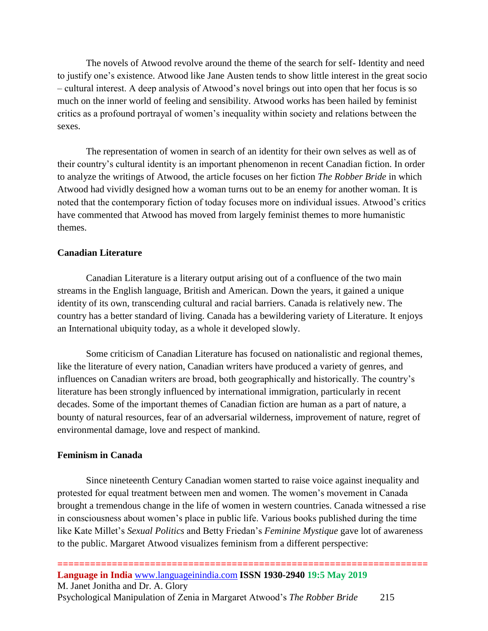The novels of Atwood revolve around the theme of the search for self- Identity and need to justify one's existence. Atwood like Jane Austen tends to show little interest in the great socio – cultural interest. A deep analysis of Atwood's novel brings out into open that her focus is so much on the inner world of feeling and sensibility. Atwood works has been hailed by feminist critics as a profound portrayal of women's inequality within society and relations between the sexes.

The representation of women in search of an identity for their own selves as well as of their country's cultural identity is an important phenomenon in recent Canadian fiction. In order to analyze the writings of Atwood, the article focuses on her fiction *The Robber Bride* in which Atwood had vividly designed how a woman turns out to be an enemy for another woman. It is noted that the contemporary fiction of today focuses more on individual issues. Atwood's critics have commented that Atwood has moved from largely feminist themes to more humanistic themes.

### **Canadian Literature**

Canadian Literature is a literary output arising out of a confluence of the two main streams in the English language, British and American. Down the years, it gained a unique identity of its own, transcending cultural and racial barriers. Canada is relatively new. The country has a better standard of living. Canada has a bewildering variety of Literature. It enjoys an International ubiquity today, as a whole it developed slowly.

Some criticism of Canadian Literature has focused on nationalistic and regional themes, like the literature of every nation, Canadian writers have produced a variety of genres, and influences on Canadian writers are broad, both geographically and historically. The country's literature has been strongly influenced by international immigration, particularly in recent decades. Some of the important themes of Canadian fiction are human as a part of nature, a bounty of natural resources, fear of an adversarial wilderness, improvement of nature, regret of environmental damage, love and respect of mankind.

#### **Feminism in Canada**

Since nineteenth Century Canadian women started to raise voice against inequality and protested for equal treatment between men and women. The women's movement in Canada brought a tremendous change in the life of women in western countries. Canada witnessed a rise in consciousness about women's place in public life. Various books published during the time like Kate Millet's *Sexual Politics* and Betty Friedan's *Feminine Mystique* gave lot of awareness to the public. Margaret Atwood visualizes feminism from a different perspective: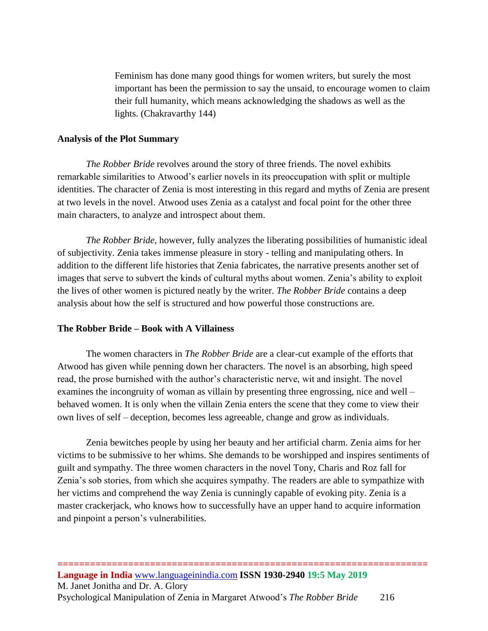Feminism has done many good things for women writers, but surely the most important has been the permission to say the unsaid, to encourage women to claim their full humanity, which means acknowledging the shadows as well as the lights. (Chakravarthy 144)

# **Analysis of the Plot Summary**

*The Robber Bride* revolves around the story of three friends. The novel exhibits remarkable similarities to Atwood's earlier novels in its preoccupation with split or multiple identities. The character of Zenia is most interesting in this regard and myths of Zenia are present at two levels in the novel. Atwood uses Zenia as a catalyst and focal point for the other three main characters, to analyze and introspect about them.

*The Robber Bride*, however, fully analyzes the liberating possibilities of humanistic ideal of subjectivity. Zenia takes immense pleasure in story - telling and manipulating others. In addition to the different life histories that Zenia fabricates, the narrative presents another set of images that serve to subvert the kinds of cultural myths about women. Zenia's ability to exploit the lives of other women is pictured neatly by the writer. *The Robber Bride* contains a deep analysis about how the self is structured and how powerful those constructions are.

# **The Robber Bride – Book with A Villainess**

The women characters in *The Robber Bride* are a clear-cut example of the efforts that Atwood has given while penning down her characters. The novel is an absorbing, high speed read, the prose burnished with the author's characteristic nerve, wit and insight. The novel examines the incongruity of woman as villain by presenting three engrossing, nice and well – behaved women. It is only when the villain Zenia enters the scene that they come to view their own lives of self – deception, becomes less agreeable, change and grow as individuals.

Zenia bewitches people by using her beauty and her artificial charm. Zenia aims for her victims to be submissive to her whims. She demands to be worshipped and inspires sentiments of guilt and sympathy. The three women characters in the novel Tony, Charis and Roz fall for Zenia's sob stories, from which she acquires sympathy. The readers are able to sympathize with her victims and comprehend the way Zenia is cunningly capable of evoking pity. Zenia is a master crackerjack, who knows how to successfully have an upper hand to acquire information and pinpoint a person's vulnerabilities.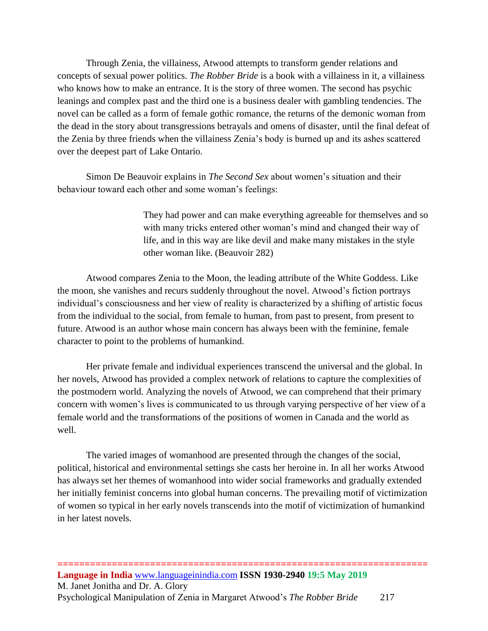Through Zenia, the villainess, Atwood attempts to transform gender relations and concepts of sexual power politics. *The Robber Bride* is a book with a villainess in it, a villainess who knows how to make an entrance. It is the story of three women. The second has psychic leanings and complex past and the third one is a business dealer with gambling tendencies. The novel can be called as a form of female gothic romance, the returns of the demonic woman from the dead in the story about transgressions betrayals and omens of disaster, until the final defeat of the Zenia by three friends when the villainess Zenia's body is burned up and its ashes scattered over the deepest part of Lake Ontario.

Simon De Beauvoir explains in *The Second Sex* about women's situation and their behaviour toward each other and some woman's feelings:

> They had power and can make everything agreeable for themselves and so with many tricks entered other woman's mind and changed their way of life, and in this way are like devil and make many mistakes in the style other woman like. (Beauvoir 282)

Atwood compares Zenia to the Moon, the leading attribute of the White Goddess. Like the moon, she vanishes and recurs suddenly throughout the novel. Atwood's fiction portrays individual's consciousness and her view of reality is characterized by a shifting of artistic focus from the individual to the social, from female to human, from past to present, from present to future. Atwood is an author whose main concern has always been with the feminine, female character to point to the problems of humankind.

Her private female and individual experiences transcend the universal and the global. In her novels, Atwood has provided a complex network of relations to capture the complexities of the postmodern world. Analyzing the novels of Atwood, we can comprehend that their primary concern with women's lives is communicated to us through varying perspective of her view of a female world and the transformations of the positions of women in Canada and the world as well.

The varied images of womanhood are presented through the changes of the social, political, historical and environmental settings she casts her heroine in. In all her works Atwood has always set her themes of womanhood into wider social frameworks and gradually extended her initially feminist concerns into global human concerns. The prevailing motif of victimization of women so typical in her early novels transcends into the motif of victimization of humankind in her latest novels.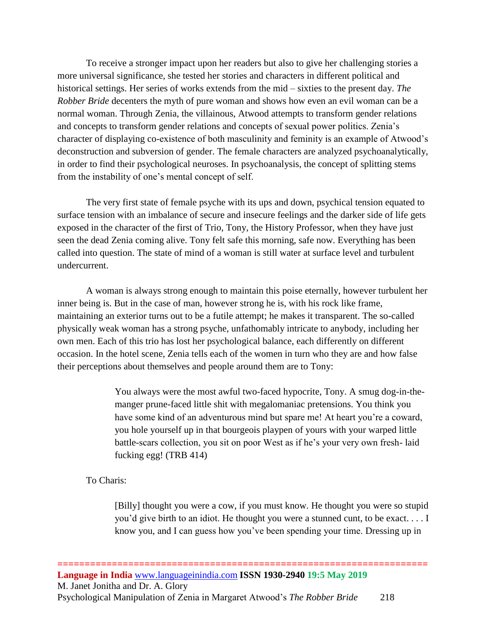To receive a stronger impact upon her readers but also to give her challenging stories a more universal significance, she tested her stories and characters in different political and historical settings. Her series of works extends from the mid – sixties to the present day. *The Robber Bride* decenters the myth of pure woman and shows how even an evil woman can be a normal woman. Through Zenia, the villainous, Atwood attempts to transform gender relations and concepts to transform gender relations and concepts of sexual power politics. Zenia's character of displaying co-existence of both masculinity and feminity is an example of Atwood's deconstruction and subversion of gender. The female characters are analyzed psychoanalytically, in order to find their psychological neuroses. In psychoanalysis, the concept of splitting stems from the instability of one's mental concept of self.

The very first state of female psyche with its ups and down, psychical tension equated to surface tension with an imbalance of secure and insecure feelings and the darker side of life gets exposed in the character of the first of Trio, Tony, the History Professor, when they have just seen the dead Zenia coming alive. Tony felt safe this morning, safe now. Everything has been called into question. The state of mind of a woman is still water at surface level and turbulent undercurrent.

A woman is always strong enough to maintain this poise eternally, however turbulent her inner being is. But in the case of man, however strong he is, with his rock like frame, maintaining an exterior turns out to be a futile attempt; he makes it transparent. The so-called physically weak woman has a strong psyche, unfathomably intricate to anybody, including her own men. Each of this trio has lost her psychological balance, each differently on different occasion. In the hotel scene, Zenia tells each of the women in turn who they are and how false their perceptions about themselves and people around them are to Tony:

> You always were the most awful two-faced hypocrite, Tony. A smug dog-in-themanger prune-faced little shit with megalomaniac pretensions. You think you have some kind of an adventurous mind but spare me! At heart you're a coward, you hole yourself up in that bourgeois playpen of yours with your warped little battle-scars collection, you sit on poor West as if he's your very own fresh- laid fucking egg! (TRB 414)

To Charis:

[Billy] thought you were a cow, if you must know. He thought you were so stupid you'd give birth to an idiot. He thought you were a stunned cunt, to be exact. . . . I know you, and I can guess how you've been spending your time. Dressing up in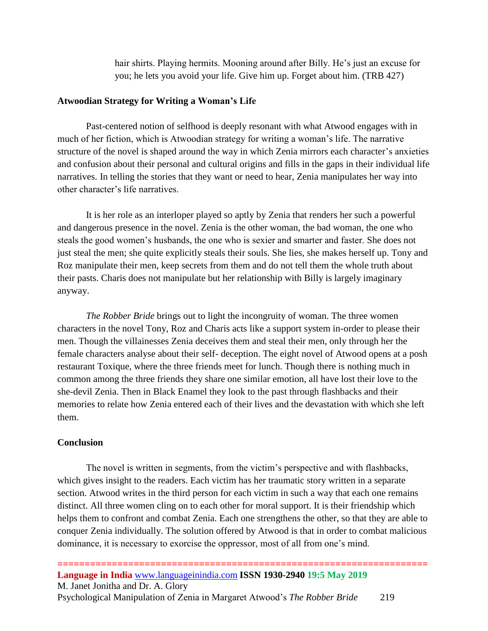hair shirts. Playing hermits. Mooning around after Billy. He's just an excuse for you; he lets you avoid your life. Give him up. Forget about him. (TRB 427)

#### **Atwoodian Strategy for Writing a Woman's Life**

Past-centered notion of selfhood is deeply resonant with what Atwood engages with in much of her fiction, which is Atwoodian strategy for writing a woman's life. The narrative structure of the novel is shaped around the way in which Zenia mirrors each character's anxieties and confusion about their personal and cultural origins and fills in the gaps in their individual life narratives. In telling the stories that they want or need to hear, Zenia manipulates her way into other character's life narratives.

It is her role as an interloper played so aptly by Zenia that renders her such a powerful and dangerous presence in the novel. Zenia is the other woman, the bad woman, the one who steals the good women's husbands, the one who is sexier and smarter and faster. She does not just steal the men; she quite explicitly steals their souls. She lies, she makes herself up. Tony and Roz manipulate their men, keep secrets from them and do not tell them the whole truth about their pasts. Charis does not manipulate but her relationship with Billy is largely imaginary anyway.

*The Robber Bride* brings out to light the incongruity of woman. The three women characters in the novel Tony, Roz and Charis acts like a support system in-order to please their men. Though the villainesses Zenia deceives them and steal their men, only through her the female characters analyse about their self- deception. The eight novel of Atwood opens at a posh restaurant Toxique, where the three friends meet for lunch. Though there is nothing much in common among the three friends they share one similar emotion, all have lost their love to the she-devil Zenia. Then in Black Enamel they look to the past through flashbacks and their memories to relate how Zenia entered each of their lives and the devastation with which she left them.

## **Conclusion**

The novel is written in segments, from the victim's perspective and with flashbacks, which gives insight to the readers. Each victim has her traumatic story written in a separate section. Atwood writes in the third person for each victim in such a way that each one remains distinct. All three women cling on to each other for moral support. It is their friendship which helps them to confront and combat Zenia. Each one strengthens the other, so that they are able to conquer Zenia individually. The solution offered by Atwood is that in order to combat malicious dominance, it is necessary to exorcise the oppressor, most of all from one's mind.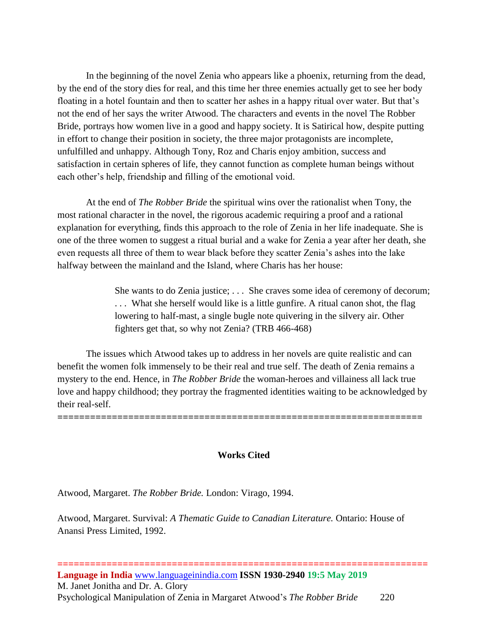In the beginning of the novel Zenia who appears like a phoenix, returning from the dead, by the end of the story dies for real, and this time her three enemies actually get to see her body floating in a hotel fountain and then to scatter her ashes in a happy ritual over water. But that's not the end of her says the writer Atwood. The characters and events in the novel The Robber Bride, portrays how women live in a good and happy society. It is Satirical how, despite putting in effort to change their position in society, the three major protagonists are incomplete, unfulfilled and unhappy. Although Tony, Roz and Charis enjoy ambition, success and satisfaction in certain spheres of life, they cannot function as complete human beings without each other's help, friendship and filling of the emotional void.

At the end of *The Robber Bride* the spiritual wins over the rationalist when Tony, the most rational character in the novel, the rigorous academic requiring a proof and a rational explanation for everything, finds this approach to the role of Zenia in her life inadequate. She is one of the three women to suggest a ritual burial and a wake for Zenia a year after her death, she even requests all three of them to wear black before they scatter Zenia's ashes into the lake halfway between the mainland and the Island, where Charis has her house:

> She wants to do Zenia justice; . . . She craves some idea of ceremony of decorum; . . . What she herself would like is a little gunfire. A ritual canon shot, the flag lowering to half-mast, a single bugle note quivering in the silvery air. Other fighters get that, so why not Zenia? (TRB 466-468)

The issues which Atwood takes up to address in her novels are quite realistic and can benefit the women folk immensely to be their real and true self. The death of Zenia remains a mystery to the end. Hence, in *The Robber Bride* the woman-heroes and villainess all lack true love and happy childhood; they portray the fragmented identities waiting to be acknowledged by their real-self.

**===================================================================**

**Works Cited**

Atwood, Margaret. *The Robber Bride.* London: Virago, 1994.

Atwood, Margaret. Survival: *A Thematic Guide to Canadian Literature.* Ontario: House of Anansi Press Limited, 1992.

**==================================================================== Language in India** [www.languageinindia.com](http://www.languageinindia.com/) **ISSN 1930-2940 19:5 May 2019** M. Janet Jonitha and Dr. A. Glory Psychological Manipulation of Zenia in Margaret Atwood's *The Robber Bride* 220